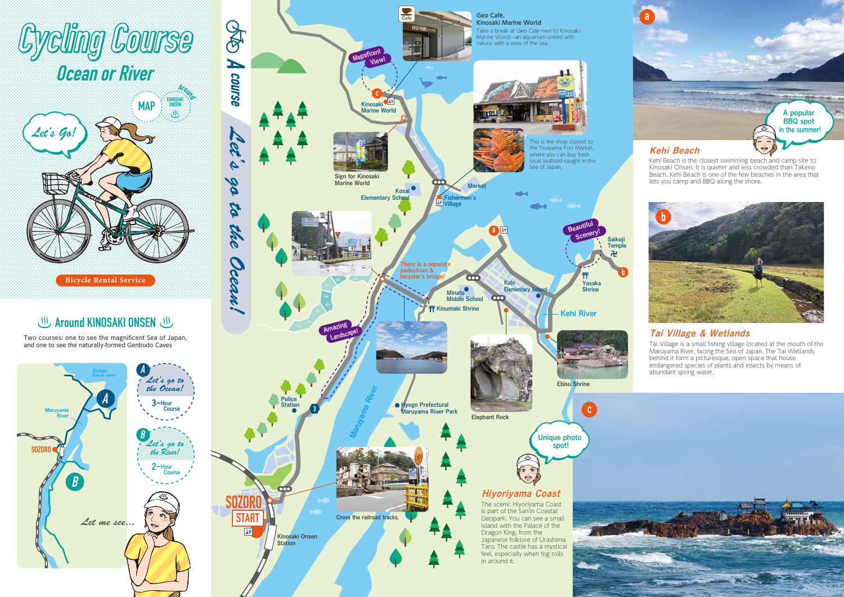Two courses: one to see the magnificent Sea of Japan, and one to see the naturally-formed Genbudo Caves







# **Cycling Course**



## **Around KINOSAKI ONSEN US**